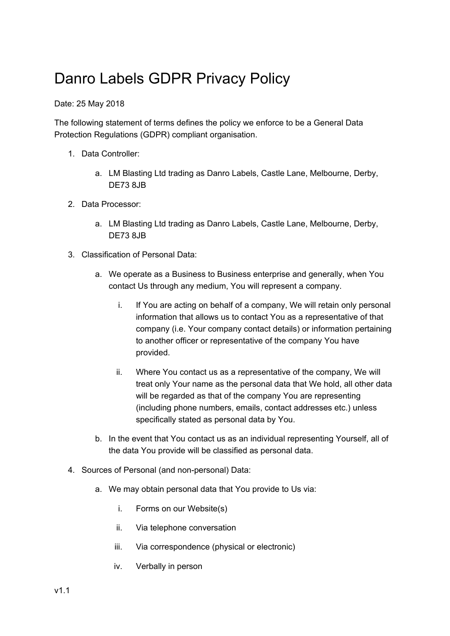## Danro Labels GDPR Privacy Policy

Date: 25 May 2018

The following statement of terms defines the policy we enforce to be a General Data Protection Regulations (GDPR) compliant organisation.

- 1. Data Controller:
	- a. LM Blasting Ltd trading as Danro Labels, Castle Lane, Melbourne, Derby, DE73 8JB
- 2. Data Processor:
	- a. LM Blasting Ltd trading as Danro Labels, Castle Lane, Melbourne, Derby, DE73 8JB
- 3. Classification of Personal Data:
	- a. We operate as a Business to Business enterprise and generally, when You contact Us through any medium, You will represent a company.
		- i. If You are acting on behalf of a company, We will retain only personal information that allows us to contact You as a representative of that company (i.e. Your company contact details) or information pertaining to another officer or representative of the company You have provided.
		- ii. Where You contact us as a representative of the company, We will treat only Your name as the personal data that We hold, all other data will be regarded as that of the company You are representing (including phone numbers, emails, contact addresses etc.) unless specifically stated as personal data by You.
	- b. In the event that You contact us as an individual representing Yourself, all of the data You provide will be classified as personal data.
- 4. Sources of Personal (and non-personal) Data:
	- a. We may obtain personal data that You provide to Us via:
		- i. Forms on our Website(s)
		- ii. Via telephone conversation
		- iii. Via correspondence (physical or electronic)
		- iv. Verbally in person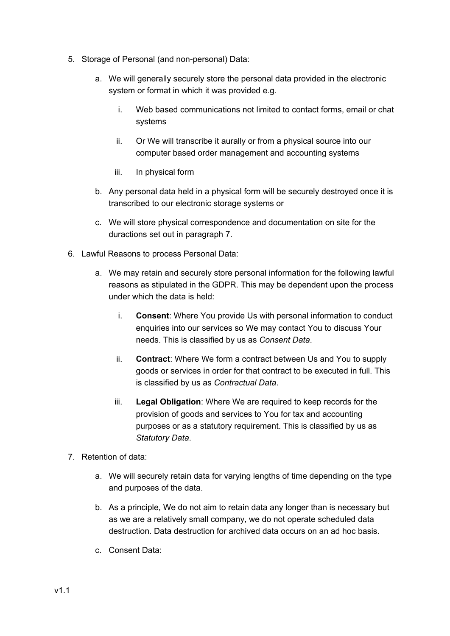- 5. Storage of Personal (and non-personal) Data:
	- a. We will generally securely store the personal data provided in the electronic system or format in which it was provided e.g.
		- i. Web based communications not limited to contact forms, email or chat systems
		- ii. Or We will transcribe it aurally or from a physical source into our computer based order management and accounting systems
		- iii. In physical form
	- b. Any personal data held in a physical form will be securely destroyed once it is transcribed to our electronic storage systems or
	- c. We will store physical correspondence and documentation on site for the duractions set out in paragraph 7.
- 6. Lawful Reasons to process Personal Data:
	- a. We may retain and securely store personal information for the following lawful reasons as stipulated in the GDPR. This may be dependent upon the process under which the data is held:
		- i. **Consent**: Where You provide Us with personal information to conduct enquiries into our services so We may contact You to discuss Your needs. This is classified by us as *Consent Data*.
		- ii. **Contract**: Where We form a contract between Us and You to supply goods or services in order for that contract to be executed in full. This is classified by us as *Contractual Data*.
		- iii. **Legal Obligation**: Where We are required to keep records for the provision of goods and services to You for tax and accounting purposes or as a statutory requirement. This is classified by us as *Statutory Data*.
- 7. Retention of data:
	- a. We will securely retain data for varying lengths of time depending on the type and purposes of the data.
	- b. As a principle, We do not aim to retain data any longer than is necessary but as we are a relatively small company, we do not operate scheduled data destruction. Data destruction for archived data occurs on an ad hoc basis.
	- c. Consent Data: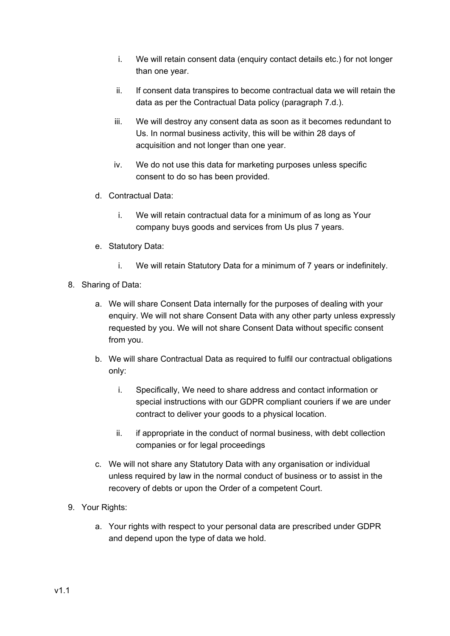- i. We will retain consent data (enquiry contact details etc.) for not longer than one year.
- ii. If consent data transpires to become contractual data we will retain the data as per the Contractual Data policy (paragraph 7.d.).
- iii. We will destroy any consent data as soon as it becomes redundant to Us. In normal business activity, this will be within 28 days of acquisition and not longer than one year.
- iv. We do not use this data for marketing purposes unless specific consent to do so has been provided.
- d. Contractual Data:
	- i. We will retain contractual data for a minimum of as long as Your company buys goods and services from Us plus 7 years.
- e. Statutory Data:
	- i. We will retain Statutory Data for a minimum of 7 years or indefinitely.
- 8. Sharing of Data:
	- a. We will share Consent Data internally for the purposes of dealing with your enquiry. We will not share Consent Data with any other party unless expressly requested by you. We will not share Consent Data without specific consent from you.
	- b. We will share Contractual Data as required to fulfil our contractual obligations only:
		- i. Specifically, We need to share address and contact information or special instructions with our GDPR compliant couriers if we are under contract to deliver your goods to a physical location.
		- ii. if appropriate in the conduct of normal business, with debt collection companies or for legal proceedings
	- c. We will not share any Statutory Data with any organisation or individual unless required by law in the normal conduct of business or to assist in the recovery of debts or upon the Order of a competent Court.
- 9. Your Rights:
	- a. Your rights with respect to your personal data are prescribed under GDPR and depend upon the type of data we hold.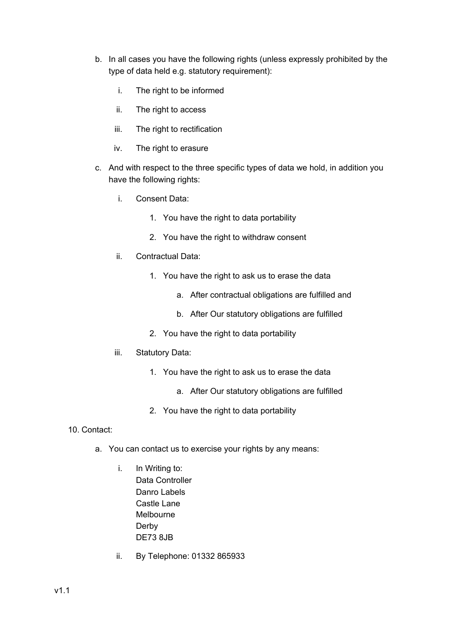- b. In all cases you have the following rights (unless expressly prohibited by the type of data held e.g. statutory requirement):
	- i. The right to be informed
	- ii. The right to access
	- iii. The right to rectification
	- iv. The right to erasure
- c. And with respect to the three specific types of data we hold, in addition you have the following rights:
	- i. Consent Data:
		- 1. You have the right to data portability
		- 2. You have the right to withdraw consent
	- ii. Contractual Data:
		- 1. You have the right to ask us to erase the data
			- a. After contractual obligations are fulfilled and
			- b. After Our statutory obligations are fulfilled
		- 2. You have the right to data portability
	- iii. Statutory Data:
		- 1. You have the right to ask us to erase the data
			- a. After Our statutory obligations are fulfilled
		- 2. You have the right to data portability
- 10. Contact:
	- a. You can contact us to exercise your rights by any means:
		- i. In Writing to: Data Controller Danro Labels Castle Lane Melbourne Derby DE73 8JB
		- ii. By Telephone: 01332 865933